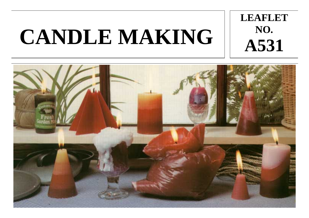# **CANDLE MAKING**



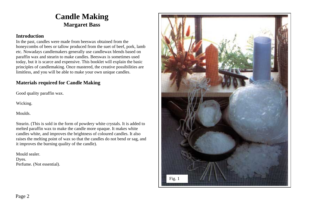# **Candle Making Margaret Bass**

#### **Introduction**

In the past, candles were made from beeswax obtained from the honeycombs of bees or tallow produced from the suet of beef, pork, lamb etc. Nowadays candlemakers generally use candlewax blends based on paraffin wax and stearin to make candles. Beeswax is sometimes used today, but it is scarce and expensive. This booklet will explain the basic principles of candlemaking. Once mastered, the creative possibilities are limitless, and you will be able to make your own unique candles.

# **Materials required for Candle Making**

Good quality paraffin wax.

Wicking.

Moulds.

Stearin. (This is sold in the form of powdery white crystals. It is added to melted paraffin wax to make the candle more opaque. It makes white candles white, and improves the brightness of coloured candles. It also raises the melting point of wax so that the candles do not bend or sag, and it improves the burning quality of the candle).

Mould sealer. Dyes. Perfume. (Not essential).

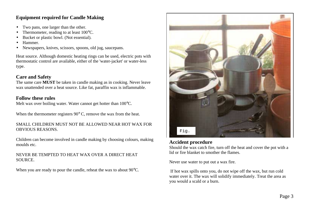# **Equipment required for Candle Making**

- •Two pans, one larger than the other.
- •Thermometer, reading to at least 100°C.
- •Bucket or plastic bowl. (Not essential).
- •Hammer.
- •Newspapers, knives, scissors, spoons, old jug, saucepans.

Heat source. Although domestic heating rings can be used, electric pots with thermostatic control are available, either of the 'water-jacket' or water-less type.

# **Care and Safety**

The same care **MUST** be taken in candle making as in cooking. Never leave wax unattended over a heat source. Like fat, paraffin wax is inflammable.

#### **Follow these rules**

Melt wax over boiling water. Water cannot get hotter than 100°C.

When the thermometer registers 90 $\degree$  C, remove the wax from the heat.

#### SMALL CHILDREN MUST NOT BE ALLOWED NEAR HOT WAX FOR OBVIOUS REASONS.

Children can become involved in candle making by choosing colours, making moulds etc.

#### NEVER BE TEMPTED TO HEAT WAX OVER A DIRECT HEAT SOURCE.

When you are ready to pour the candle, reheat the wax to about 90<sup>o</sup>C.



## **Accident procedure**

Should the wax catch fire, turn off the heat and cover the pot with a lid or fire blanket to smother the flames.

Never use water to put out a wax fire.

 If hot wax spills onto you, do not wipe off the wax, but run cold water over it. The wax will solidify immediately. Treat the area as you would a scald or a burn.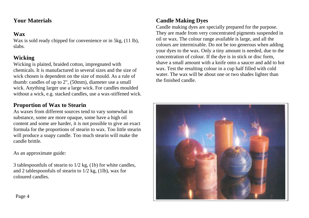# **Your Materials**

# **Wax**

Wax is sold ready chipped for convenience or in 5kg, (11 lb), slabs.

# **Wicking**

Wicking is plaited, braided cotton, impregnated with chemicals. It is manufactured in several sizes and the size of wick chosen is dependent on the size of mould. As a rule of thumb: candles of up to 2", (50mm), diameter use a small wick. Anything larger use a large wick. For candles moulded without a wick, e.g. stacked candles, use a wax-stiffened wick.

# **Proportion of Wax to Stearin**

As waxes from different sources tend to vary somewhat in substance, some are more opaque, some have a high oil content and some are harder, it is not possible to give an exact formula for the proportions of stearin to wax. Too little stearin will produce a soapy candle. Too much stearin will make the candle brittle.

As an approximate guide:

3 tablespoonfuls of stearin to 1/2 kg, (1b) for white candles, and 2 tables poonfuls of stearing to  $1/2$  kg,  $(11b)$ , wax for coloured candles.

# **Candle Making Dyes**

Candle making dyes are specially prepared for the purpose. They are made from very concentrated pigments suspended in oil or wax. The colour range available is large, and all the colours are intermixable. Do not be too generous when adding your dyes to the wax. Only a tiny amount is needed, due to the concentration of colour. If the dye is in stick or disc form, shave a small amount with a knife onto a saucer and add to hot wax. Test the resulting colour in a cup half filled with cold water. The wax will be about one or two shades lighter than the finished candle.

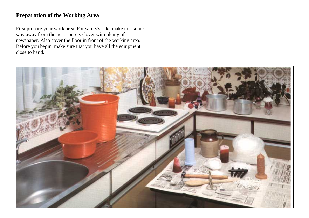# **Preparation of the Working Area**

First prepare your work area. For safety's sake make this some way away from the heat source. Cover with plenty of newspaper. Also cover the floor in front of the working area. Before you begin, make sure that you have all the equipment close to hand.

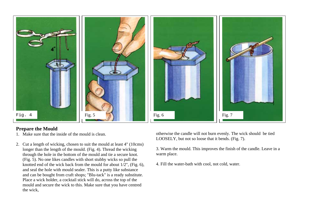

## **Prepare the Mould**

- 1. Make sure that the inside of the mould is clean.
- 2. Cut a length of wicking, chosen to suit the mould at least 4" (10cms) longer than the length of the mould. (Fig. 4). Thread the wicking through the hole in the bottom of the mould and tie a secure knot. (Fig. 5). No one likes candles with short stubby wicks so pull the knotted end of the wick back from the mould for about 1/2", (Fig. 6), and seal the hole with mould sealer. This is a putty like substance and can be bought from craft shops; "Blu-tack" is a ready substitute. Place a wick holder, a cocktail stick will do, across the top of the mould and secure the wick to this. Make sure that you have centred the wick,

otherwise the candle will not burn evenly. The wick should be tied LOOSELY, but not so loose that it bends. (Fig. 7).

3. Warm the mould. This improves the finish of the candle. Leave in a warm place.

4. Fill the water-bath with cool, not cold, water.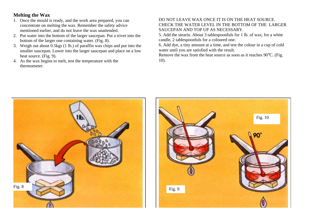# **Melting the Wax**

- 1. Once the mould is ready, and the work area prepared, you can concentrate on melting the wax. Remember the safety advice mentioned earlier, and do not leave the wax unattended.
- 2. Put water into the bottom of the larger saucepan. Put a trivet into the bottom of the larger one containing water. (Fig. 8).
- 3. Weigh out about 0.5kgs (1 lb.) of paraffin wax chips and put into the smaller saucepan. Lower into the larger saucepan and place on a low heat source. (Fig. 9).
- 4. As the wax begins to melt, test the temperature with the thermometer.

#### DO NOT LEAVE WAX ONCE IT IS ON THE HEAT SOURCE. CHECK THE WATER LEVEL IN THE BOTTOM OF THE LARGER SAUCEPAN AND TOP UP AS NECESSARY.

5. Add the stearin. About 3 tablespoonfuls for 1 lb. of wax, for a white candle, 2 tablespoonfuls for a coloured one.

6. Add dye, a tiny amount at a time, and test the colour in a cup of cold water until you are satisfied with the result.

Remove the wax from the heat source as soon as it reaches 90°C. (Fig. 10).



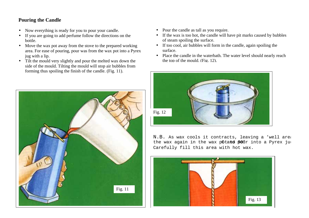# **Pouring the Candle**

- •Now everything is ready for you to pour your candle.
- • If you are going to add perfume follow the directions on the bottle.
- $\bullet$  Move the wax pot away from the stove to the prepared working area. For ease of pouring, pour was from the wax pot into a Pyrex jug with a lip.
- • Tilt the mould very slightly and pour the melted wax down the side of the mould. Tilting the mould will stop air bubbles from forming thus spoiling the finish of the candle. (Fig. 11).



- Pour the candle as tall as you require.
- If the wax is too hot, the candle will have pit marks caused by bubbles of steam spoiling the surface.
- If too cool, air bubbles will form in the candle, again spoiling the surface.
- Place the candle in the waterbath. The water level should nearly reach the top of the mould. (Fig. 12).



N.B. As wax cools it contracts, leaving a 'well area the wax again in the wax potand pour into a Pyrex jug Carefully fill this area with hot wax.

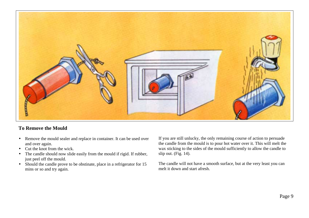

## **To Remove the Mould**

- $\bullet$  Remove the mould sealer and replace in container. It can be used over and over again.
- •Cut the knot from the wick.
- • The candle should now slide easily from the mould if rigid. If rubber, just peel off the mould.
- Should the candle prove to be obstinate, place in a refrigerator for 15 mins or so and try again.

If you are still unlucky, the only remaining course of action to persuade the candle from the mould is to pour hot water over it. This will melt the wax sticking to the sides of the mould sufficiently to allow the candle to slip out. (Fig. 14).

The candle will not have a smooth surface, but at the very least you can melt it down and start afresh.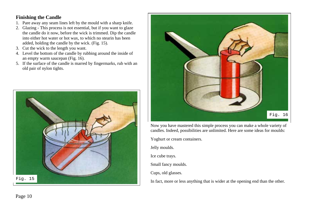## **Finishing the Candle**

- 1. Pare away any seam lines left by the mould with a sharp knife.
- 2. Glazing This process is not essential, but if you want to glaze the candle do it now, before the wick is trimmed. Dip the candle into either hot water or hot wax, to which no stearin has been added, holding the candle by the wick. (Fig. 15).
- 3. Cut the wick to the length you want.
- 4. Level the bottom of the candle by rubbing around the inside of an empty warm saucepan (Fig. 16).
- 5. If the surface of the candle is marred by fingermarks, rub with an old pair of nylon tights.





Now you have mastered this simple process you can make a whole variety of candles. Indeed, possibilities are unlimited. Here are some ideas for moulds:

Yoghurt or cream containers.

Jelly moulds.

Ice cube trays.

Small fancy moulds.

Cups, old glasses.

In fact, more or less anything that is wider at the opening end than the other.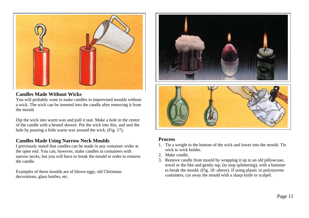

#### **Candles Made Without Wicks**

You will probably want to make candles in improvised moulds without a wick. The wick can be inserted into the candle after removing it from the mould.

Dip the wick into warm wax and pull it taut. Make a hole in the centre of the candle with a heated skewer. Put the wick into this, and seal the hole by pouring a little warm wax around the wick. (Fig. 17).

## **Candles Made Using Narrow Neck Moulds**

I previously stated that candles can be made in any container wider at the open end. You can, however, make candles in containers with narrow necks, but you will have to break the mould in order to remove the candle.

Examples of these moulds are of blown eggs, old Christmas decorations, glass bottles, etc.





## **Process**

- 1. Tie a weight to the bottom of the wick and lower into the mould. Tie wick to wick holder.
- 2. Make candle.
- 3. Remove candle from mould by wrapping it up in an old pillowcase, towel or the like and gently tap, (to stop splintering), with a hammer to break the mould. (Fig. 18 -above). If using plastic or polystyrene containers, cut away the mould with a sharp knife or scalpel.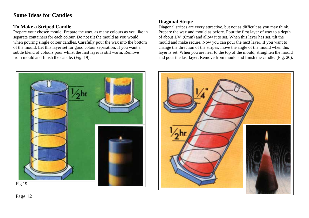# **Some Ideas for Candles**

# **To Make a Striped Candle**

Prepare your chosen mould. Prepare the wax, as many colours as you like in separate containers for each colour. Do not tilt the mould as you would when pouring single colour candles. Carefully pour the wax into the bottom of the mould. Let this layer set for good colour separation. If you want a subtle blend of colours pour whilst the first layer is still warm. Remove from mould and finish the candle. (Fig. 19).



# **Diagonal Stripe**

Diagonal stripes are every attractive, but not as difficult as you may think. Prepare the wax and mould as before. Pour the first layer of wax to a depth of about 1/4" (6mm) and allow it to set. When this layer has set, tilt the mould and make secure. Now you can pour the next layer. If you want to change the direction of the stripes, move the angle of the mould when this layer is set. When you are near to the top of the mould, straighten the mould and pour the last layer. Remove from mould and finish the candle. (Fig. 20).



Page 12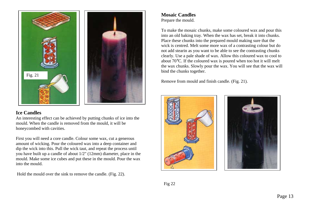

#### **Ice Candles**

An interesting effect can be achieved by putting chunks of ice into the mould. When the candle is removed from the mould, it will be honeycombed with cavities.

First you will need a core candle. Colour some wax, cut a generous amount of wicking. Pour the coloured wax into a deep container and dip the wick into this. Pull the wick taut, and repeat the process until you have built up a candle of about 1/2" (12mm) diameter, place in the mould. Make some ice cubes and put these in the mould. Pour the wax into the mould.

Hold the mould over the sink to remove the candle. (Fig. 22).

#### **Mosaic Candles** Prepare the mould.

To make the mosaic chunks, make some coloured wax and pour this into an old baking tray. When the wax has set, break it into chunks. Place these chunks into the prepared mould making sure that the wick is centred. Melt some more wax of a contrasting colour but do not add stearin as you want to be able to see the contrasting chunks clearly. Use a pale shade of wax. Allow this coloured wax to cool to about 70°C. If the coloured wax is poured when too hot it will melt the wax chunks. Slowly pour the wax. You will see that the wax will bind the chunks together.

Remove from mould and finish candle. (Fig. 21).



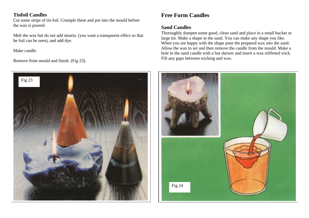# **Tinfoil Candles**

Cut some strips of tin foil. Crumple these and put into the mould before the wax is poured.

Melt the wax but do not add stearin, (you want a transparent effect so that he foil can be seen), and add dye.

Make candle.

Remove from mould and finish. (Fig 23).



# **Free Form Candles**

# **Sand Candles**

Thoroughly dampen some good, clean sand and place in a small bucket or large tin. Make a shape in the sand. You can make any shape you like. When you are happy with the shape pour the prepared wax into the sand. Allow the wax to set and then remove the candle from the mould. Make a hole in the sand candle with a hot skewer and insert a wax stiffened wick. Fill any gaps between wicking and wax.

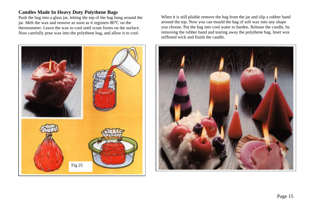## **Candles Made In Heavy Duty Polythene Bags**

Push the bag into a glass jar, letting the top of the bag hang around the jar. Melt the wax and remove as soon as it registers 80°C on the thermometer. Leave the wax to cool until scum forms on the surface. Now carefully pour wax into the polythene bag, and allow it to cool.



When it is still pliable remove the bag from the jar and slip a rubber band around the top. Now you can mould the bag of soft wax into any shape you choose. Put the bag into cool water to harden. Release the candle, by removing the rubber band and tearing away the polythene bag. Inset wax stiffened wick and finish the candle.